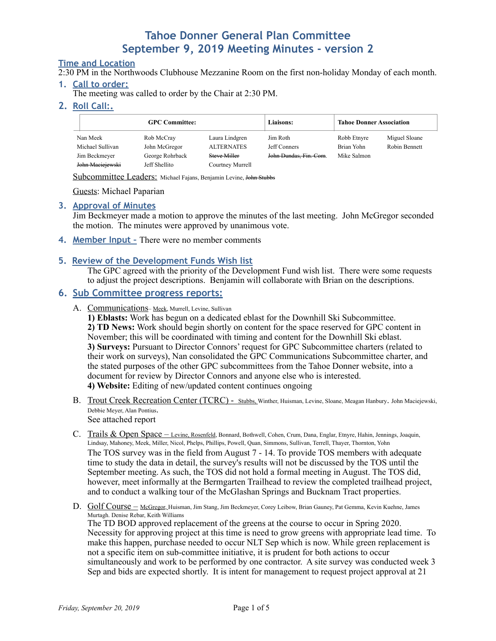## **Time and Location**

2:30 PM in the Northwoods Clubhouse Mezzanine Room on the first non-holiday Monday of each month.

#### **1. Call to order:**

The meeting was called to order by the Chair at 2:30 PM.

### **2. Roll Call:.**

| <b>GPC Committee:</b> |                 |                   | <b>Liaisons:</b>       | <b>Tahoe Donner Association</b> |               |
|-----------------------|-----------------|-------------------|------------------------|---------------------------------|---------------|
| Nan Meek              | Rob McCray      | Laura Lindgren    | Jim Roth               | Robb Etnyre                     | Miguel Sloane |
| Michael Sullivan      | John McGregor   | <b>ALTERNATES</b> | Jeff Conners           | Brian Yohn                      | Robin Bennett |
| Jim Beckmeyer         | George Rohrback | Steve Miller      | John Dundas, Fin. Com. | Mike Salmon                     |               |
| John Maciejewski      | Jeff Shellito   | Courtney Murrell  |                        |                                 |               |

Subcommittee Leaders: Michael Fajans, Benjamin Levine, John Stubbs

Guests: Michael Paparian

#### **3. Approval of Minutes**

Jim Beckmeyer made a motion to approve the minutes of the last meeting. John McGregor seconded the motion. The minutes were approved by unanimous vote.

**4. Member Input –** There were no member comments

#### **5. Review of the Development Funds Wish list**

The GPC agreed with the priority of the Development Fund wish list. There were some requests to adjust the project descriptions. Benjamin will collaborate with Brian on the descriptions.

## **6. Sub Committee progress reports:**

A. Communications– Meek, Murrell, Levine, Sullivan

**1) Eblasts:** Work has begun on a dedicated eblast for the Downhill Ski Subcommittee. **2) TD News:** Work should begin shortly on content for the space reserved for GPC content in November; this will be coordinated with timing and content for the Downhill Ski eblast. **3) Surveys:** Pursuant to Director Connors' request for GPC Subcommittee charters (related to their work on surveys), Nan consolidated the GPC Communications Subcommittee charter, and the stated purposes of the other GPC subcommittees from the Tahoe Donner website, into a document for review by Director Connors and anyone else who is interested. **4) Website:** Editing of new/updated content continues ongoing

- B. Trout Creek Recreation Center (TCRC) Stubbs, Winther, Huisman, Levine, Sloane, Meagan Hanbury. John Maciejewski, Debbie Meyer, Alan Pontius. See attached report
- C. Trails & Open Space Levine, Rosenfeld, Bonnard, Bothwell, Cohen, Crum, Dana, Englar, Etnyre, Hahin, Jennings, Joaquin, Lindsay, Mahoney, Meek, Miller, Nicol, Phelps, Phillips, Powell, Quan, Simmons, Sullivan, Terrell, Thayer, Thornton, Yohn The TOS survey was in the field from August 7 - 14. To provide TOS members with adequate time to study the data in detail, the survey's results will not be discussed by the TOS until the September meeting. As such, the TOS did not hold a formal meeting in August. The TOS did, however, meet informally at the Bermgarten Trailhead to review the completed trailhead project, and to conduct a walking tour of the McGlashan Springs and Bucknam Tract properties.
- D. Golf Course McGregor, Huisman, Jim Stang, Jim Beckmeyer, Corey Leibow, Brian Gauney, Pat Gemma, Kevin Kuehne, James Murtagh. Denise Rebar, Keith Williams The TD BOD approved replacement of the greens at the course to occur in Spring 2020. Necessity for approving project at this time is need to grow greens with appropriate lead time. To make this happen, purchase needed to occur NLT Sep which is now. While green replacement is not a specific item on sub-committee initiative, it is prudent for both actions to occur simultaneously and work to be performed by one contractor. A site survey was conducted week 3 Sep and bids are expected shortly. It is intent for management to request project approval at 21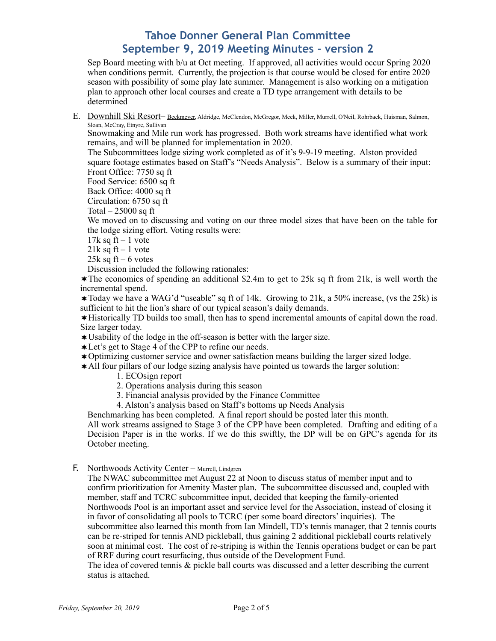Sep Board meeting with b/u at Oct meeting. If approved, all activities would occur Spring 2020 when conditions permit. Currently, the projection is that course would be closed for entire 2020 season with possibility of some play late summer. Management is also working on a mitigation plan to approach other local courses and create a TD type arrangement with details to be determined

E. Downhill Ski Resort- Beckmeyer, Aldridge, McClendon, McGregor, Meek, Miller, Murrell, O'Neil, Rohrback, Huisman, Salmon, Sloan, McCray, Etnyre, Sullivan

Snowmaking and Mile run work has progressed. Both work streams have identified what work remains, and will be planned for implementation in 2020.

The Subcommittees lodge sizing work completed as of it's 9-9-19 meeting. Alston provided square footage estimates based on Staff's "Needs Analysis". Below is a summary of their input: Front Office: 7750 sq ft

Food Service: 6500 sq ft

Back Office: 4000 sq ft

Circulation: 6750 sq ft

Total  $-25000$  sq ft

We moved on to discussing and voting on our three model sizes that have been on the table for the lodge sizing effort. Voting results were:

 $17k$  sq ft – 1 vote

 $21k$  sq ft – 1 vote

25 $k$  sq ft – 6 votes

Discussion included the following rationales:

 $\star$  The economics of spending an additional \$2.4m to get to 25k sq ft from 21k, is well worth the incremental spend.

 $\star$  Today we have a WAG'd "useable" sq ft of 14k. Growing to 21k, a 50% increase, (vs the 25k) is sufficient to hit the lion's share of our typical season's daily demands.

!Historically TD builds too small, then has to spend incremental amounts of capital down the road. Size larger today.

 $*$ Usability of the lodge in the off-season is better with the larger size.

- \*Let's get to Stage 4 of the CPP to refine our needs.
- !Optimizing customer service and owner satisfaction means building the larger sized lodge.

 $\star$  All four pillars of our lodge sizing analysis have pointed us towards the larger solution:

- 1. ECOsign report
- 2. Operations analysis during this season
- 3. Financial analysis provided by the Finance Committee
- 4. Alston's analysis based on Staff's bottoms up Needs Analysis

Benchmarking has been completed. A final report should be posted later this month.

All work streams assigned to Stage 3 of the CPP have been completed. Drafting and editing of a Decision Paper is in the works. If we do this swiftly, the DP will be on GPC's agenda for its October meeting.

F. Northwoods Activity Center – Murrell, Lindgren

The NWAC subcommittee met August 22 at Noon to discuss status of member input and to confirm prioritization for Amenity Master plan. The subcommittee discussed and, coupled with member, staff and TCRC subcommittee input, decided that keeping the family-oriented Northwoods Pool is an important asset and service level for the Association, instead of closing it in favor of consolidating all pools to TCRC (per some board directors' inquiries). The subcommittee also learned this month from Ian Mindell, TD's tennis manager, that 2 tennis courts can be re-striped for tennis AND pickleball, thus gaining 2 additional pickleball courts relatively soon at minimal cost. The cost of re-striping is within the Tennis operations budget or can be part of RRF during court resurfacing, thus outside of the Development Fund.

The idea of covered tennis & pickle ball courts was discussed and a letter describing the current status is attached.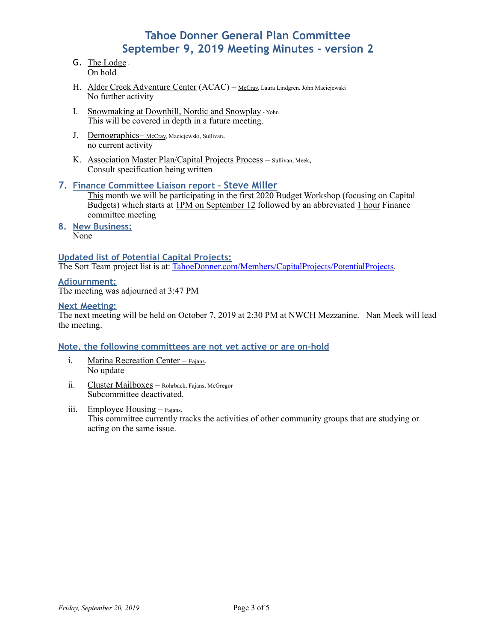- G. The Lodge -On hold
- H. Alder Creek Adventure Center (ACAC) McCray, Laura Lindgren. John Maciejewski No further activity
- I. Snowmaking at Downhill, Nordic and Snowplay Yohn This will be covered in depth in a future meeting.
- J. Demographics-McCray, Maciejewski, Sullivan. no current activity
- K. Association Master Plan/Capital Projects Process Sullivan, Meek, Consult specification being written

### **7. Finance Committee Liaison report - Steve Miller**

This month we will be participating in the first 2020 Budget Workshop (focusing on Capital Budgets) which starts at 1PM on September 12 followed by an abbreviated 1 hour Finance committee meeting

**8. New Business:**  None

**Updated list of Potential Capital Projects:** 

The Sort Team project list is at: [TahoeDonner.com/Members/CapitalProjects/PotentialProjects](http://www.tahoedonner.com/members/capital-projects/future-potential-projects/).

**Adjournment:**  The meeting was adjourned at 3:47 PM

### **Next Meeting:**

The next meeting will be held on October 7, 2019 at 2:30 PM at NWCH Mezzanine. Nan Meek will lead the meeting.

### **Note, the following committees are not yet active or are on-hold**

- i. Marina Recreation Center Fajans. No update
- ii. Cluster Mailboxes Rohrback, Fajans, McGregor Subcommittee deactivated.
- iii. Employee Housing Fajans. This committee currently tracks the activities of other community groups that are studying or acting on the same issue.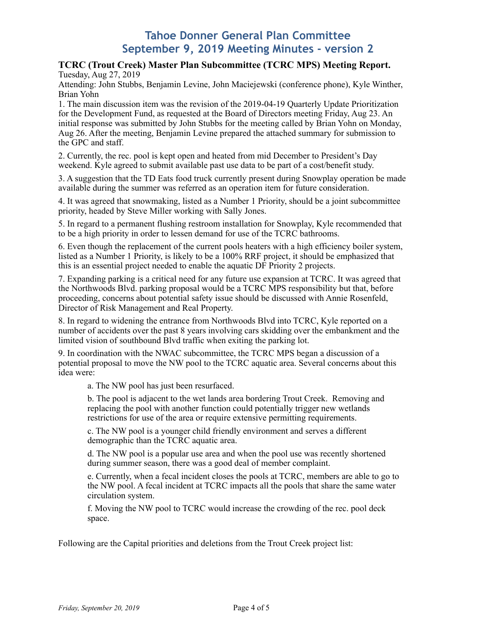#### **TCRC (Trout Creek) Master Plan Subcommittee (TCRC MPS) Meeting Report.**  Tuesday, Aug 27, 2019

Attending: John Stubbs, Benjamin Levine, John Maciejewski (conference phone), Kyle Winther, Brian Yohn

1. The main discussion item was the revision of the 2019-04-19 Quarterly Update Prioritization for the Development Fund, as requested at the Board of Directors meeting Friday, Aug 23. An initial response was submitted by John Stubbs for the meeting called by Brian Yohn on Monday, Aug 26. After the meeting, Benjamin Levine prepared the attached summary for submission to the GPC and staff.

2. Currently, the rec. pool is kept open and heated from mid December to President's Day weekend. Kyle agreed to submit available past use data to be part of a cost/benefit study.

3. A suggestion that the TD Eats food truck currently present during Snowplay operation be made available during the summer was referred as an operation item for future consideration.

4. It was agreed that snowmaking, listed as a Number 1 Priority, should be a joint subcommittee priority, headed by Steve Miller working with Sally Jones.

5. In regard to a permanent flushing restroom installation for Snowplay, Kyle recommended that to be a high priority in order to lessen demand for use of the TCRC bathrooms.

6. Even though the replacement of the current pools heaters with a high efficiency boiler system, listed as a Number 1 Priority, is likely to be a 100% RRF project, it should be emphasized that this is an essential project needed to enable the aquatic DF Priority 2 projects.

7. Expanding parking is a critical need for any future use expansion at TCRC. It was agreed that the Northwoods Blvd. parking proposal would be a TCRC MPS responsibility but that, before proceeding, concerns about potential safety issue should be discussed with Annie Rosenfeld, Director of Risk Management and Real Property.

8. In regard to widening the entrance from Northwoods Blvd into TCRC, Kyle reported on a number of accidents over the past 8 years involving cars skidding over the embankment and the limited vision of southbound Blvd traffic when exiting the parking lot.

9. In coordination with the NWAC subcommittee, the TCRC MPS began a discussion of a potential proposal to move the NW pool to the TCRC aquatic area. Several concerns about this idea were:

a. The NW pool has just been resurfaced.

b. The pool is adjacent to the wet lands area bordering Trout Creek. Removing and replacing the pool with another function could potentially trigger new wetlands restrictions for use of the area or require extensive permitting requirements.

c. The NW pool is a younger child friendly environment and serves a different demographic than the TCRC aquatic area.

d. The NW pool is a popular use area and when the pool use was recently shortened during summer season, there was a good deal of member complaint.

e. Currently, when a fecal incident closes the pools at TCRC, members are able to go to the NW pool. A fecal incident at TCRC impacts all the pools that share the same water circulation system.

f. Moving the NW pool to TCRC would increase the crowding of the rec. pool deck space.

Following are the Capital priorities and deletions from the Trout Creek project list: